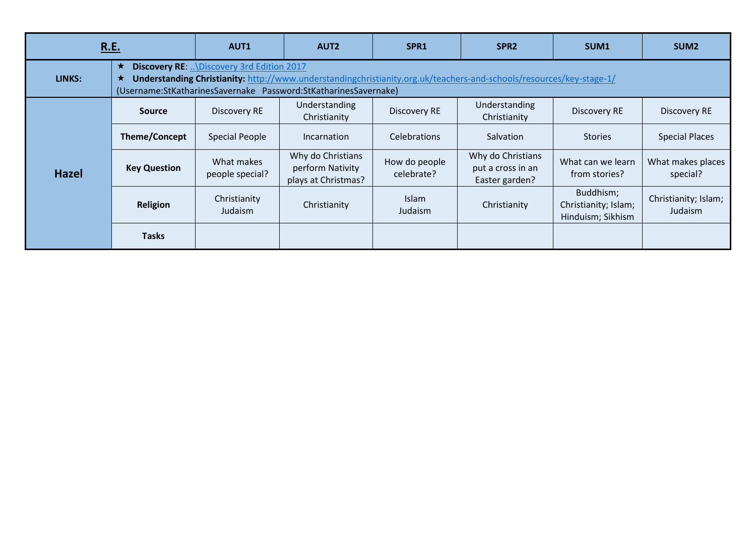| R.E.         |                                                                                                                                                                                                                                                 | <b>AUT1</b>                   | AUT <sub>2</sub>                                             | SPR <sub>1</sub>            | SPR <sub>2</sub>                                         | SUM <sub>1</sub>                                       | SUM <sub>2</sub>                |  |  |
|--------------|-------------------------------------------------------------------------------------------------------------------------------------------------------------------------------------------------------------------------------------------------|-------------------------------|--------------------------------------------------------------|-----------------------------|----------------------------------------------------------|--------------------------------------------------------|---------------------------------|--|--|
| LINKS:       | $\star$<br>Discovery RE:  \Discovery 3rd Edition 2017<br>Understanding Christianity: http://www.understandingchristianity.org.uk/teachers-and-schools/resources/key-stage-1/<br>(Username:StKatharinesSavernake Password:StKatharinesSavernake) |                               |                                                              |                             |                                                          |                                                        |                                 |  |  |
| <b>Hazel</b> | <b>Source</b>                                                                                                                                                                                                                                   | Discovery RE                  | Understanding<br>Christianity                                | Discovery RE                | Understanding<br>Christianity                            | Discovery RE                                           | Discovery RE                    |  |  |
|              | <b>Theme/Concept</b>                                                                                                                                                                                                                            | <b>Special People</b>         | Incarnation                                                  | <b>Celebrations</b>         | <b>Salvation</b>                                         | <b>Stories</b>                                         | <b>Special Places</b>           |  |  |
|              | <b>Key Question</b>                                                                                                                                                                                                                             | What makes<br>people special? | Why do Christians<br>perform Nativity<br>plays at Christmas? | How do people<br>celebrate? | Why do Christians<br>put a cross in an<br>Easter garden? | What can we learn<br>from stories?                     | What makes places<br>special?   |  |  |
|              | Religion                                                                                                                                                                                                                                        | Christianity<br>Judaism       | Christianity                                                 | Islam<br>Judaism            | Christianity                                             | Buddhism;<br>Christianity; Islam;<br>Hinduism; Sikhism | Christianity; Islam;<br>Judaism |  |  |
|              | <b>Tasks</b>                                                                                                                                                                                                                                    |                               |                                                              |                             |                                                          |                                                        |                                 |  |  |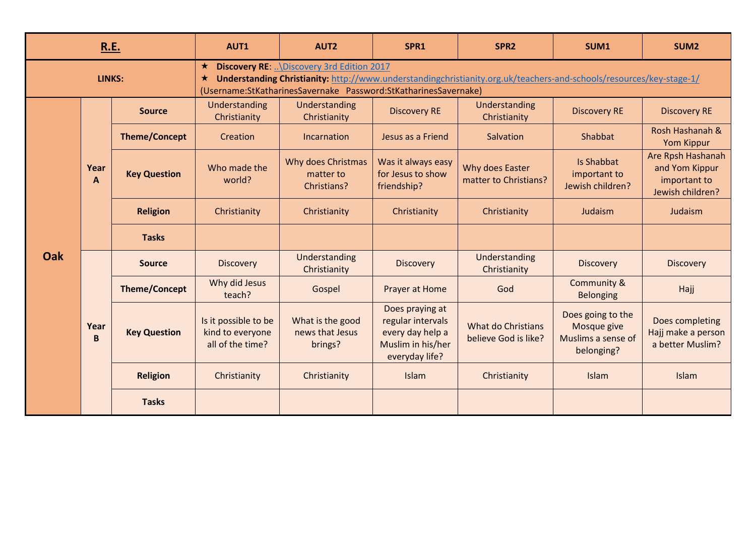| R.E.       |           |                                                                                                                                                                                                                                                                 | AUT1                                                         | AUT <sub>2</sub>                               | SPR1                                                                                            | SPR <sub>2</sub>                           | SUM1                                                                 | SUM <sub>2</sub>                                                        |  |
|------------|-----------|-----------------------------------------------------------------------------------------------------------------------------------------------------------------------------------------------------------------------------------------------------------------|--------------------------------------------------------------|------------------------------------------------|-------------------------------------------------------------------------------------------------|--------------------------------------------|----------------------------------------------------------------------|-------------------------------------------------------------------------|--|
| LINKS:     |           | <b>Discovery RE</b> \Discovery 3rd Edition 2017<br>$\star$<br>Understanding Christianity: http://www.understandingchristianity.org.uk/teachers-and-schools/resources/key-stage-1/<br>$\star$<br>(Username:StKatharinesSavernake Password:StKatharinesSavernake) |                                                              |                                                |                                                                                                 |                                            |                                                                      |                                                                         |  |
| <b>Oak</b> | Year<br>A | <b>Source</b>                                                                                                                                                                                                                                                   | Understanding<br>Christianity                                | Understanding<br>Christianity                  | <b>Discovery RE</b>                                                                             | Understanding<br>Christianity              | <b>Discovery RE</b>                                                  | <b>Discovery RE</b>                                                     |  |
|            |           | <b>Theme/Concept</b>                                                                                                                                                                                                                                            | Creation                                                     | Incarnation                                    | Jesus as a Friend                                                                               | Salvation                                  | Shabbat                                                              | Rosh Hashanah &<br>Yom Kippur                                           |  |
|            |           | <b>Key Question</b>                                                                                                                                                                                                                                             | Who made the<br>world?                                       | Why does Christmas<br>matter to<br>Christians? | Was it always easy<br>for Jesus to show<br>friendship?                                          | Why does Easter<br>matter to Christians?   | <b>Is Shabbat</b><br>important to<br>Jewish children?                | Are Rpsh Hashanah<br>and Yom Kippur<br>important to<br>Jewish children? |  |
|            |           | <b>Religion</b>                                                                                                                                                                                                                                                 | Christianity                                                 | Christianity                                   | Christianity                                                                                    | Christianity                               | Judaism                                                              | Judaism                                                                 |  |
|            |           | <b>Tasks</b>                                                                                                                                                                                                                                                    |                                                              |                                                |                                                                                                 |                                            |                                                                      |                                                                         |  |
|            | Year<br>B | <b>Source</b>                                                                                                                                                                                                                                                   | <b>Discovery</b>                                             | Understanding<br>Christianity                  | <b>Discovery</b>                                                                                | Understanding<br>Christianity              | <b>Discovery</b>                                                     | <b>Discovery</b>                                                        |  |
|            |           | <b>Theme/Concept</b>                                                                                                                                                                                                                                            | Why did Jesus<br>teach?                                      | Gospel                                         | Prayer at Home                                                                                  | God                                        | Community &<br>Belonging                                             | Hajj                                                                    |  |
|            |           | <b>Key Question</b>                                                                                                                                                                                                                                             | Is it possible to be<br>kind to everyone<br>all of the time? | What is the good<br>news that Jesus<br>brings? | Does praying at<br>regular intervals<br>every day help a<br>Muslim in his/her<br>everyday life? | What do Christians<br>believe God is like? | Does going to the<br>Mosque give<br>Muslims a sense of<br>belonging? | Does completing<br>Hajj make a person<br>a better Muslim?               |  |
|            |           | <b>Religion</b>                                                                                                                                                                                                                                                 | Christianity                                                 | Christianity                                   | Islam                                                                                           | Christianity                               | Islam                                                                | Islam                                                                   |  |
|            |           | <b>Tasks</b>                                                                                                                                                                                                                                                    |                                                              |                                                |                                                                                                 |                                            |                                                                      |                                                                         |  |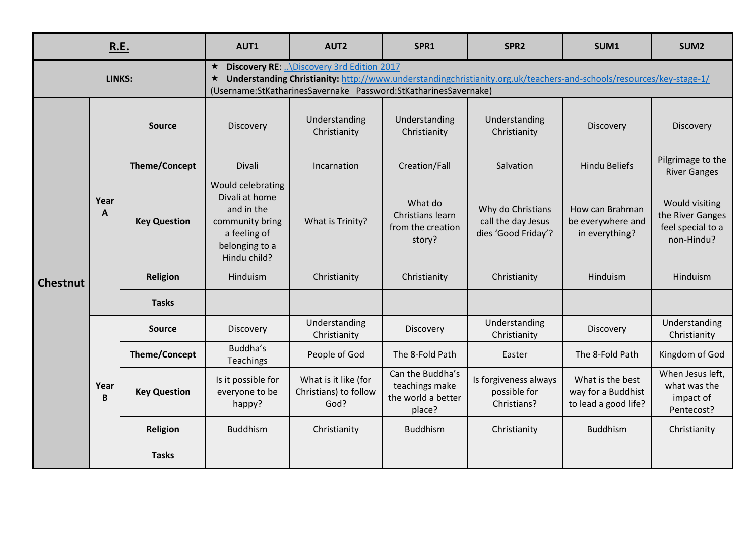| R.E.            |                      |                                                                                                                                                                                                                                                                   | AUT1                                                                                                                   | AUT <sub>2</sub>                                      | SPR1                                                               | SPR <sub>2</sub>                                               | SUM1                                                           | SUM <sub>2</sub>                                                      |  |
|-----------------|----------------------|-------------------------------------------------------------------------------------------------------------------------------------------------------------------------------------------------------------------------------------------------------------------|------------------------------------------------------------------------------------------------------------------------|-------------------------------------------------------|--------------------------------------------------------------------|----------------------------------------------------------------|----------------------------------------------------------------|-----------------------------------------------------------------------|--|
| LINKS:          |                      | <b>Discovery RE: </b> \Discovery 3rd Edition 2017<br>$\star$<br>Understanding Christianity: http://www.understandingchristianity.org.uk/teachers-and-schools/resources/key-stage-1/<br>$\star$<br>(Username:StKatharinesSavernake Password:StKatharinesSavernake) |                                                                                                                        |                                                       |                                                                    |                                                                |                                                                |                                                                       |  |
| <b>Chestnut</b> | Year<br>$\mathbf{A}$ | <b>Source</b>                                                                                                                                                                                                                                                     | Discovery                                                                                                              | Understanding<br>Christianity                         | Understanding<br>Christianity                                      | Understanding<br>Christianity                                  | Discovery                                                      | Discovery                                                             |  |
|                 |                      | <b>Theme/Concept</b>                                                                                                                                                                                                                                              | Divali                                                                                                                 | Incarnation                                           | Creation/Fall                                                      | Salvation                                                      | <b>Hindu Beliefs</b>                                           | Pilgrimage to the<br><b>River Ganges</b>                              |  |
|                 |                      | <b>Key Question</b>                                                                                                                                                                                                                                               | Would celebrating<br>Divali at home<br>and in the<br>community bring<br>a feeling of<br>belonging to a<br>Hindu child? | What is Trinity?                                      | What do<br>Christians learn<br>from the creation<br>story?         | Why do Christians<br>call the day Jesus<br>dies 'Good Friday'? | How can Brahman<br>be everywhere and<br>in everything?         | Would visiting<br>the River Ganges<br>feel special to a<br>non-Hindu? |  |
|                 |                      | <b>Religion</b>                                                                                                                                                                                                                                                   | Hinduism                                                                                                               | Christianity                                          | Christianity                                                       | Christianity                                                   | Hinduism                                                       | Hinduism                                                              |  |
|                 |                      | <b>Tasks</b>                                                                                                                                                                                                                                                      |                                                                                                                        |                                                       |                                                                    |                                                                |                                                                |                                                                       |  |
|                 | Year<br>B            | Source                                                                                                                                                                                                                                                            | Discovery                                                                                                              | Understanding<br>Christianity                         | Discovery                                                          | Understanding<br>Christianity                                  | Discovery                                                      | Understanding<br>Christianity                                         |  |
|                 |                      | <b>Theme/Concept</b>                                                                                                                                                                                                                                              | Buddha's<br>Teachings                                                                                                  | People of God                                         | The 8-Fold Path                                                    | Easter                                                         | The 8-Fold Path                                                | Kingdom of God                                                        |  |
|                 |                      | <b>Key Question</b>                                                                                                                                                                                                                                               | Is it possible for<br>everyone to be<br>happy?                                                                         | What is it like (for<br>Christians) to follow<br>God? | Can the Buddha's<br>teachings make<br>the world a better<br>place? | Is forgiveness always<br>possible for<br>Christians?           | What is the best<br>way for a Buddhist<br>to lead a good life? | When Jesus left,<br>what was the<br>impact of<br>Pentecost?           |  |
|                 |                      | <b>Religion</b>                                                                                                                                                                                                                                                   | <b>Buddhism</b>                                                                                                        | Christianity                                          | <b>Buddhism</b>                                                    | Christianity                                                   | <b>Buddhism</b>                                                | Christianity                                                          |  |
|                 |                      | <b>Tasks</b>                                                                                                                                                                                                                                                      |                                                                                                                        |                                                       |                                                                    |                                                                |                                                                |                                                                       |  |